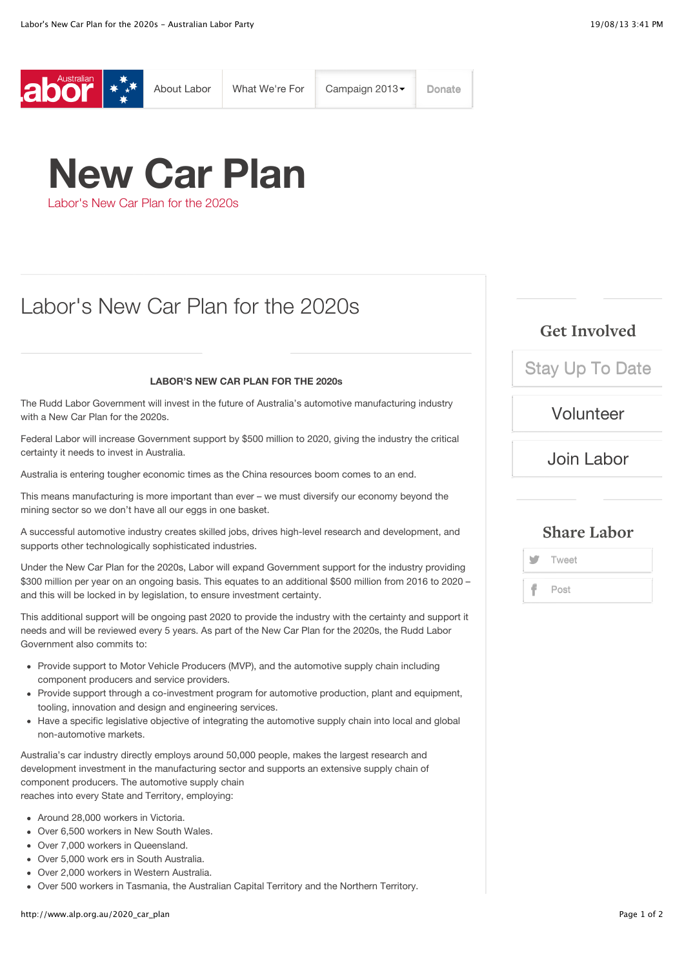

# **New Car Plan**

Labor's New Car Plan for the 2020s

# Labor's New Car Plan for the 2020s

#### **LABOR'S NEW CAR PLAN FOR THE 2020s**

The Rudd Labor Government will invest in the future of Australia's automotive manufacturing industry with a New Car Plan for the 2020s.

Federal Labor will increase Government support by \$500 million to 2020, giving the industry the critical certainty it needs to invest in Australia.

Australia is entering tougher economic times as the China resources boom comes to an end.

This means manufacturing is more important than ever – we must diversify our economy beyond the mining sector so we don't have all our eggs in one basket.

A successful automotive industry creates skilled jobs, drives high-level research and development, and supports other technologically sophisticated industries.

Under the New Car Plan for the 2020s, Labor will expand Government support for the industry providing \$300 million per year on an ongoing basis. This equates to an additional \$500 million from 2016 to 2020 – and this will be locked in by legislation, to ensure investment certainty.

This additional support will be ongoing past 2020 to provide the industry with the certainty and support it needs and will be reviewed every 5 years. As part of the New Car Plan for the 2020s, the Rudd Labor Government also commits to:

- Provide support to Motor Vehicle Producers (MVP), and the automotive supply chain including component producers and service providers.
- Provide support through a co-investment program for automotive production, plant and equipment, tooling, innovation and design and engineering services.
- Have a specific legislative objective of integrating the automotive supply chain into local and global non-automotive markets.

Australia's car industry directly employs around 50,000 people, makes the largest research and development investment in the manufacturing sector and supports an extensive supply chain of component producers. The automotive supply chain reaches into every State and Territory, employing:

- Around 28,000 workers in Victoria.
- Over 6,500 workers in New South Wales.
- Over 7,000 workers in Queensland.
- Over 5,000 work ers in South Australia.
- Over 2,000 workers in Western Australia.
- Over 500 workers in Tasmania, the Australian Capital Territory and the Northern Territory.

# **Get Involved**

[Stay Up To Date](http://www.alp.org.au/stay_updated)

# [Volunteer](http://www.alp.org.au/volunteer)

[Join Labor](http://www.alp.org.au/joinlabor)

## **Share Labor**

**Tweet** Post